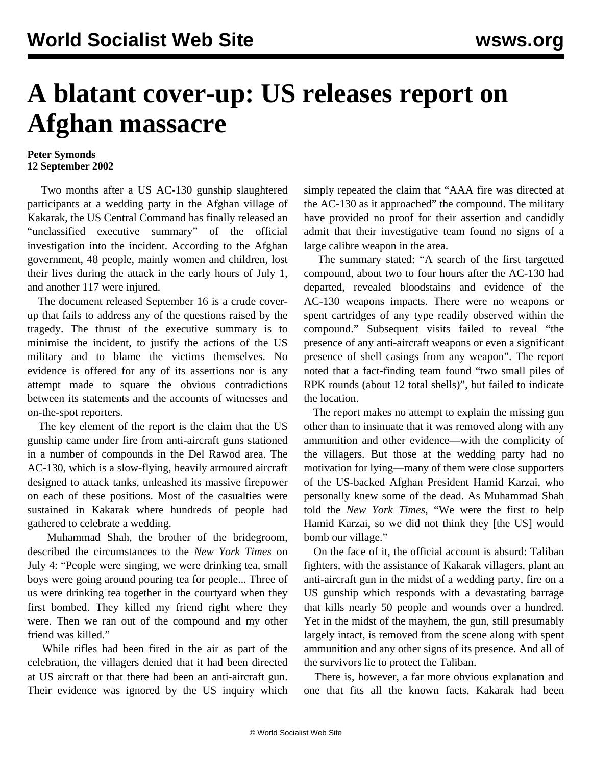## **A blatant cover-up: US releases report on Afghan massacre**

## **Peter Symonds 12 September 2002**

 Two months after a US AC-130 gunship slaughtered participants at a wedding party in the Afghan village of Kakarak, the US Central Command has finally released an "unclassified executive summary" of the official investigation into the incident. According to the Afghan government, 48 people, mainly women and children, lost their lives during the attack in the early hours of July 1, and another 117 were injured.

 The document released September 16 is a crude coverup that fails to address any of the questions raised by the tragedy. The thrust of the executive summary is to minimise the incident, to justify the actions of the US military and to blame the victims themselves. No evidence is offered for any of its assertions nor is any attempt made to square the obvious contradictions between its statements and the accounts of witnesses and on-the-spot reporters.

 The key element of the report is the claim that the US gunship came under fire from anti-aircraft guns stationed in a number of compounds in the Del Rawod area. The AC-130, which is a slow-flying, heavily armoured aircraft designed to attack tanks, unleashed its massive firepower on each of these positions. Most of the casualties were sustained in Kakarak where hundreds of people had gathered to celebrate a wedding.

 Muhammad Shah, the brother of the bridegroom, described the circumstances to the *New York Times* on July 4: "People were singing, we were drinking tea, small boys were going around pouring tea for people... Three of us were drinking tea together in the courtyard when they first bombed. They killed my friend right where they were. Then we ran out of the compound and my other friend was killed."

 While rifles had been fired in the air as part of the celebration, the villagers denied that it had been directed at US aircraft or that there had been an anti-aircraft gun. Their evidence was ignored by the US inquiry which

simply repeated the claim that "AAA fire was directed at the AC-130 as it approached" the compound. The military have provided no proof for their assertion and candidly admit that their investigative team found no signs of a large calibre weapon in the area.

 The summary stated: "A search of the first targetted compound, about two to four hours after the AC-130 had departed, revealed bloodstains and evidence of the AC-130 weapons impacts. There were no weapons or spent cartridges of any type readily observed within the compound." Subsequent visits failed to reveal "the presence of any anti-aircraft weapons or even a significant presence of shell casings from any weapon". The report noted that a fact-finding team found "two small piles of RPK rounds (about 12 total shells)", but failed to indicate the location.

 The report makes no attempt to explain the missing gun other than to insinuate that it was removed along with any ammunition and other evidence—with the complicity of the villagers. But those at the wedding party had no motivation for lying—many of them were close supporters of the US-backed Afghan President Hamid Karzai, who personally knew some of the dead. As Muhammad Shah told the *New York Times*, "We were the first to help Hamid Karzai, so we did not think they [the US] would bomb our village."

 On the face of it, the official account is absurd: Taliban fighters, with the assistance of Kakarak villagers, plant an anti-aircraft gun in the midst of a wedding party, fire on a US gunship which responds with a devastating barrage that kills nearly 50 people and wounds over a hundred. Yet in the midst of the mayhem, the gun, still presumably largely intact, is removed from the scene along with spent ammunition and any other signs of its presence. And all of the survivors lie to protect the Taliban.

 There is, however, a far more obvious explanation and one that fits all the known facts. Kakarak had been